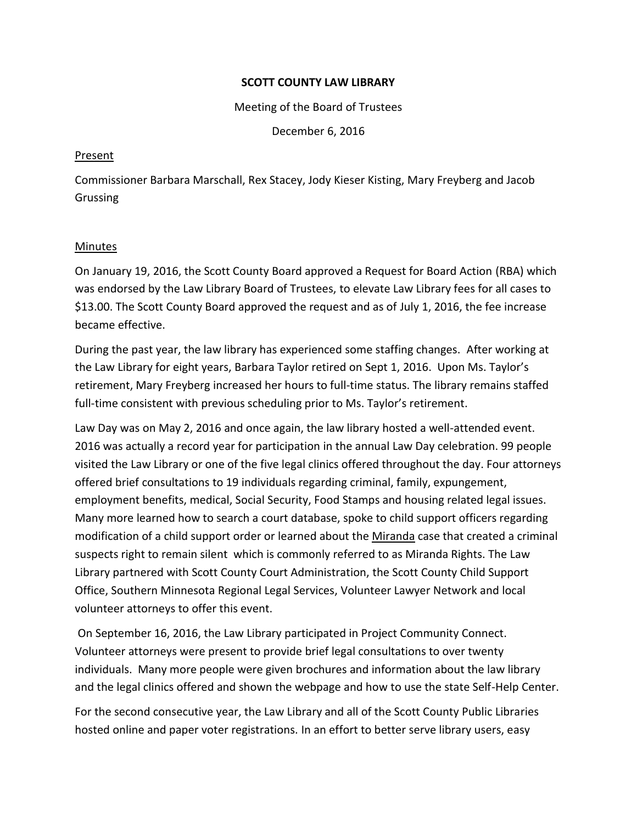#### **SCOTT COUNTY LAW LIBRARY**

Meeting of the Board of Trustees

December 6, 2016

#### Present

Commissioner Barbara Marschall, Rex Stacey, Jody Kieser Kisting, Mary Freyberg and Jacob Grussing

### Minutes

On January 19, 2016, the Scott County Board approved a Request for Board Action (RBA) which was endorsed by the Law Library Board of Trustees, to elevate Law Library fees for all cases to \$13.00. The Scott County Board approved the request and as of July 1, 2016, the fee increase became effective.

During the past year, the law library has experienced some staffing changes. After working at the Law Library for eight years, Barbara Taylor retired on Sept 1, 2016. Upon Ms. Taylor's retirement, Mary Freyberg increased her hours to full-time status. The library remains staffed full-time consistent with previous scheduling prior to Ms. Taylor's retirement.

Law Day was on May 2, 2016 and once again, the law library hosted a well-attended event. 2016 was actually a record year for participation in the annual Law Day celebration. 99 people visited the Law Library or one of the five legal clinics offered throughout the day. Four attorneys offered brief consultations to 19 individuals regarding criminal, family, expungement, employment benefits, medical, Social Security, Food Stamps and housing related legal issues. Many more learned how to search a court database, spoke to child support officers regarding modification of a child support order or learned about the Miranda case that created a criminal suspects right to remain silent which is commonly referred to as Miranda Rights. The Law Library partnered with Scott County Court Administration, the Scott County Child Support Office, Southern Minnesota Regional Legal Services, Volunteer Lawyer Network and local volunteer attorneys to offer this event.

On September 16, 2016, the Law Library participated in Project Community Connect. Volunteer attorneys were present to provide brief legal consultations to over twenty individuals. Many more people were given brochures and information about the law library and the legal clinics offered and shown the webpage and how to use the state Self-Help Center.

For the second consecutive year, the Law Library and all of the Scott County Public Libraries hosted online and paper voter registrations. In an effort to better serve library users, easy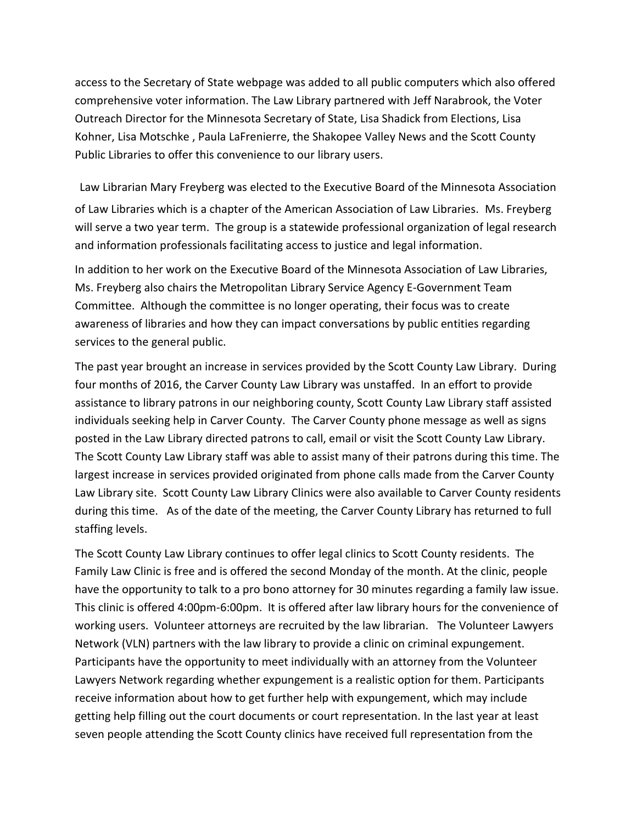access to the Secretary of State webpage was added to all public computers which also offered comprehensive voter information. The Law Library partnered with Jeff Narabrook, the Voter Outreach Director for the Minnesota Secretary of State, Lisa Shadick from Elections, Lisa Kohner, Lisa Motschke , Paula LaFrenierre, the Shakopee Valley News and the Scott County Public Libraries to offer this convenience to our library users.

Law Librarian Mary Freyberg was elected to the Executive Board of the Minnesota Association of Law Libraries which is a chapter of the American Association of Law Libraries. Ms. Freyberg will serve a two year term. The group is a statewide professional organization of legal research and information professionals facilitating access to justice and legal information.

In addition to her work on the Executive Board of the Minnesota Association of Law Libraries, Ms. Freyberg also chairs the Metropolitan Library Service Agency E-Government Team Committee. Although the committee is no longer operating, their focus was to create awareness of libraries and how they can impact conversations by public entities regarding services to the general public.

The past year brought an increase in services provided by the Scott County Law Library. During four months of 2016, the Carver County Law Library was unstaffed. In an effort to provide assistance to library patrons in our neighboring county, Scott County Law Library staff assisted individuals seeking help in Carver County. The Carver County phone message as well as signs posted in the Law Library directed patrons to call, email or visit the Scott County Law Library. The Scott County Law Library staff was able to assist many of their patrons during this time. The largest increase in services provided originated from phone calls made from the Carver County Law Library site. Scott County Law Library Clinics were also available to Carver County residents during this time. As of the date of the meeting, the Carver County Library has returned to full staffing levels.

The Scott County Law Library continues to offer legal clinics to Scott County residents. The Family Law Clinic is free and is offered the second Monday of the month. At the clinic, people have the opportunity to talk to a pro bono attorney for 30 minutes regarding a family law issue. This clinic is offered 4:00pm-6:00pm. It is offered after law library hours for the convenience of working users. Volunteer attorneys are recruited by the law librarian. The Volunteer Lawyers Network (VLN) partners with the law library to provide a clinic on criminal expungement. Participants have the opportunity to meet individually with an attorney from the Volunteer Lawyers Network regarding whether expungement is a realistic option for them. Participants receive information about how to get further help with expungement, which may include getting help filling out the court documents or court representation. In the last year at least seven people attending the Scott County clinics have received full representation from the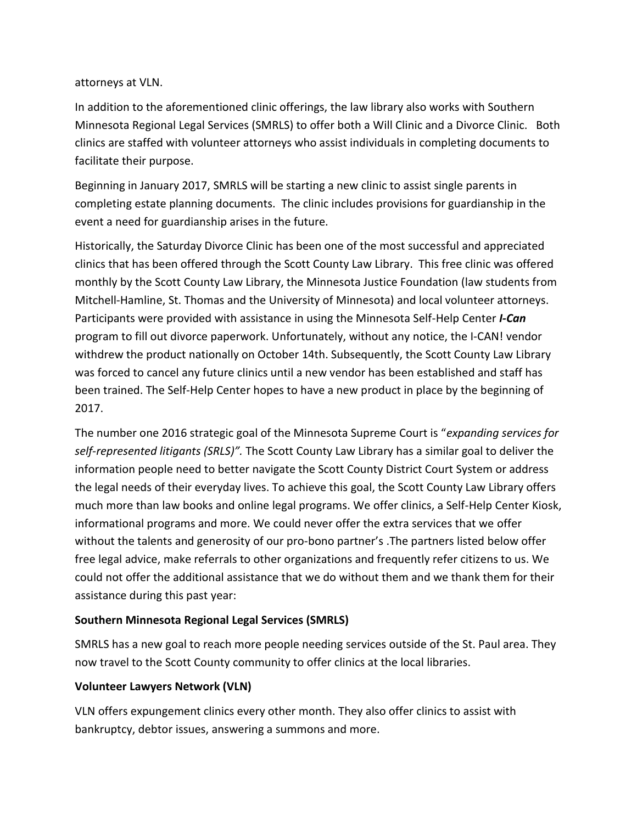attorneys at VLN.

In addition to the aforementioned clinic offerings, the law library also works with Southern Minnesota Regional Legal Services (SMRLS) to offer both a Will Clinic and a Divorce Clinic. Both clinics are staffed with volunteer attorneys who assist individuals in completing documents to facilitate their purpose.

Beginning in January 2017, SMRLS will be starting a new clinic to assist single parents in completing estate planning documents. The clinic includes provisions for guardianship in the event a need for guardianship arises in the future.

Historically, the Saturday Divorce Clinic has been one of the most successful and appreciated clinics that has been offered through the Scott County Law Library. This free clinic was offered monthly by the Scott County Law Library, the Minnesota Justice Foundation (law students from Mitchell-Hamline, St. Thomas and the University of Minnesota) and local volunteer attorneys. Participants were provided with assistance in using the Minnesota Self-Help Center *I-Can* program to fill out divorce paperwork. Unfortunately, without any notice, the I-CAN! vendor withdrew the product nationally on October 14th. Subsequently, the Scott County Law Library was forced to cancel any future clinics until a new vendor has been established and staff has been trained. The Self-Help Center hopes to have a new product in place by the beginning of 2017.

The number one 2016 strategic goal of the Minnesota Supreme Court is "*expanding services for self-represented litigants (SRLS)".* The Scott County Law Library has a similar goal to deliver the information people need to better navigate the Scott County District Court System or address the legal needs of their everyday lives. To achieve this goal, the Scott County Law Library offers much more than law books and online legal programs. We offer clinics, a Self-Help Center Kiosk, informational programs and more. We could never offer the extra services that we offer without the talents and generosity of our pro-bono partner's .The partners listed below offer free legal advice, make referrals to other organizations and frequently refer citizens to us. We could not offer the additional assistance that we do without them and we thank them for their assistance during this past year:

# **Southern Minnesota Regional Legal Services (SMRLS)**

SMRLS has a new goal to reach more people needing services outside of the St. Paul area. They now travel to the Scott County community to offer clinics at the local libraries.

### **Volunteer Lawyers Network (VLN)**

VLN offers expungement clinics every other month. They also offer clinics to assist with bankruptcy, debtor issues, answering a summons and more.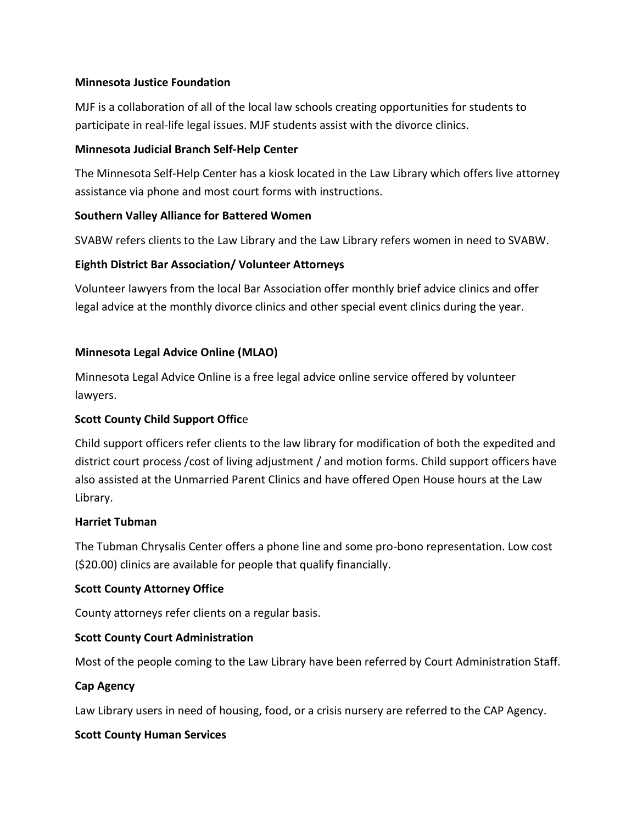## **Minnesota Justice Foundation**

MJF is a collaboration of all of the local law schools creating opportunities for students to participate in real-life legal issues. MJF students assist with the divorce clinics.

### **Minnesota Judicial Branch Self-Help Center**

The Minnesota Self-Help Center has a kiosk located in the Law Library which offers live attorney assistance via phone and most court forms with instructions.

### **Southern Valley Alliance for Battered Women**

SVABW refers clients to the Law Library and the Law Library refers women in need to SVABW.

### **Eighth District Bar Association/ Volunteer Attorneys**

Volunteer lawyers from the local Bar Association offer monthly brief advice clinics and offer legal advice at the monthly divorce clinics and other special event clinics during the year.

### **Minnesota Legal Advice Online (MLAO)**

Minnesota Legal Advice Online is a free legal advice online service offered by volunteer lawyers.

# **Scott County Child Support Offic**e

Child support officers refer clients to the law library for modification of both the expedited and district court process /cost of living adjustment / and motion forms. Child support officers have also assisted at the Unmarried Parent Clinics and have offered Open House hours at the Law Library.

### **Harriet Tubman**

The Tubman Chrysalis Center offers a phone line and some pro-bono representation. Low cost (\$20.00) clinics are available for people that qualify financially.

### **Scott County Attorney Office**

County attorneys refer clients on a regular basis.

### **Scott County Court Administration**

Most of the people coming to the Law Library have been referred by Court Administration Staff.

### **Cap Agency**

Law Library users in need of housing, food, or a crisis nursery are referred to the CAP Agency.

### **Scott County Human Services**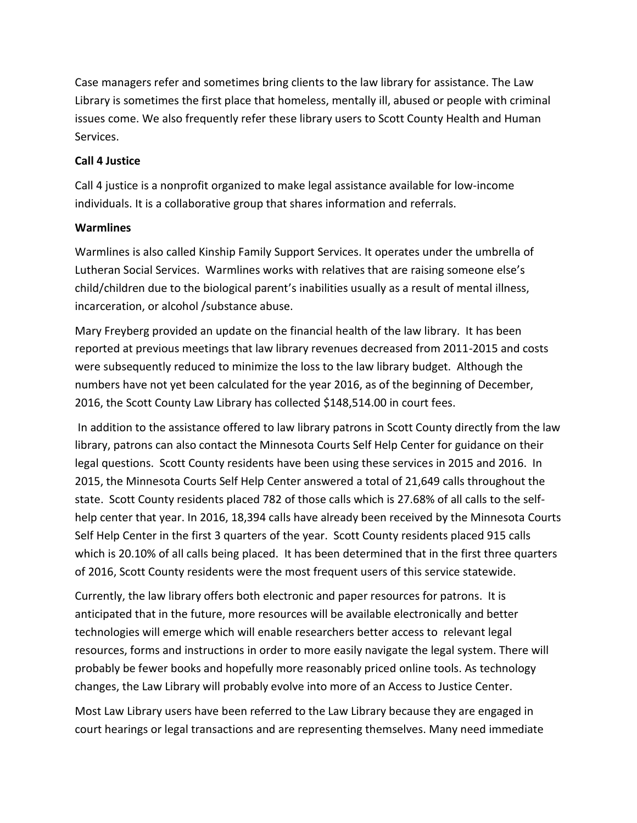Case managers refer and sometimes bring clients to the law library for assistance. The Law Library is sometimes the first place that homeless, mentally ill, abused or people with criminal issues come. We also frequently refer these library users to Scott County Health and Human Services.

## **Call 4 Justice**

Call 4 justice is a nonprofit organized to make legal assistance available for low-income individuals. It is a collaborative group that shares information and referrals.

### **Warmlines**

Warmlines is also called Kinship Family Support Services. It operates under the umbrella of Lutheran Social Services. Warmlines works with relatives that are raising someone else's child/children due to the biological parent's inabilities usually as a result of mental illness, incarceration, or alcohol /substance abuse.

Mary Freyberg provided an update on the financial health of the law library. It has been reported at previous meetings that law library revenues decreased from 2011-2015 and costs were subsequently reduced to minimize the loss to the law library budget. Although the numbers have not yet been calculated for the year 2016, as of the beginning of December, 2016, the Scott County Law Library has collected \$148,514.00 in court fees.

In addition to the assistance offered to law library patrons in Scott County directly from the law library, patrons can also contact the Minnesota Courts Self Help Center for guidance on their legal questions. Scott County residents have been using these services in 2015 and 2016. In 2015, the Minnesota Courts Self Help Center answered a total of 21,649 calls throughout the state. Scott County residents placed 782 of those calls which is 27.68% of all calls to the selfhelp center that year. In 2016, 18,394 calls have already been received by the Minnesota Courts Self Help Center in the first 3 quarters of the year. Scott County residents placed 915 calls which is 20.10% of all calls being placed. It has been determined that in the first three quarters of 2016, Scott County residents were the most frequent users of this service statewide.

Currently, the law library offers both electronic and paper resources for patrons. It is anticipated that in the future, more resources will be available electronically and better technologies will emerge which will enable researchers better access to relevant legal resources, forms and instructions in order to more easily navigate the legal system. There will probably be fewer books and hopefully more reasonably priced online tools. As technology changes, the Law Library will probably evolve into more of an Access to Justice Center.

Most Law Library users have been referred to the Law Library because they are engaged in court hearings or legal transactions and are representing themselves. Many need immediate